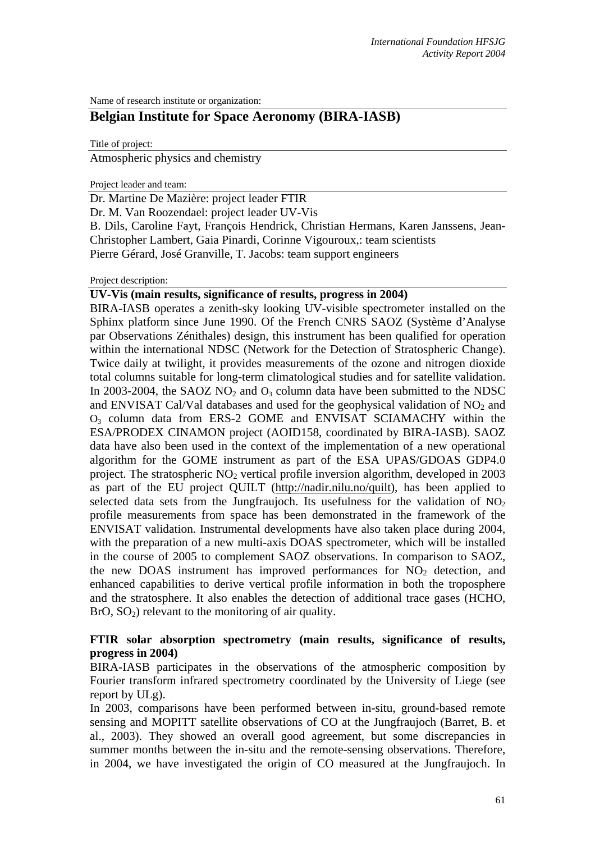Name of research institute or organization:

# **Belgian Institute for Space Aeronomy (BIRA-IASB)**

Title of project:

Atmospheric physics and chemistry

Project leader and team:

Dr. Martine De Mazière: project leader FTIR

Dr. M. Van Roozendael: project leader UV-Vis

B. Dils, Caroline Fayt, François Hendrick, Christian Hermans, Karen Janssens, Jean-Christopher Lambert, Gaia Pinardi, Corinne Vigouroux,: team scientists Pierre Gérard, José Granville, T. Jacobs: team support engineers

## Project description:

# **UV-Vis (main results, significance of results, progress in 2004)**

BIRA-IASB operates a zenith-sky looking UV-visible spectrometer installed on the Sphinx platform since June 1990. Of the French CNRS SAOZ (Système d'Analyse par Observations Zénithales) design, this instrument has been qualified for operation within the international NDSC (Network for the Detection of Stratospheric Change). Twice daily at twilight, it provides measurements of the ozone and nitrogen dioxide total columns suitable for long-term climatological studies and for satellite validation. In 2003-2004, the SAOZ  $NO<sub>2</sub>$  and  $O<sub>3</sub>$  column data have been submitted to the NDSC and ENVISAT Cal/Val databases and used for the geophysical validation of  $NO<sub>2</sub>$  and  $O<sub>3</sub>$  column data from ERS-2 GOME and ENVISAT SCIAMACHY within the ESA/PRODEX CINAMON project (AOID158, coordinated by BIRA-IASB). SAOZ data have also been used in the context of the implementation of a new operational algorithm for the GOME instrument as part of the ESA UPAS/GDOAS GDP4.0 project. The stratospheric  $NO<sub>2</sub>$  vertical profile inversion algorithm, developed in 2003 as part of the EU project QUILT [\(http://nadir.nilu.no/quilt\)](http://nadir.nilu.no/quilt), has been applied to selected data sets from the Jungfraujoch. Its usefulness for the validation of  $NO<sub>2</sub>$ profile measurements from space has been demonstrated in the framework of the ENVISAT validation. Instrumental developments have also taken place during 2004, with the preparation of a new multi-axis DOAS spectrometer, which will be installed in the course of 2005 to complement SAOZ observations. In comparison to SAOZ, the new DOAS instrument has improved performances for  $NO<sub>2</sub>$  detection, and enhanced capabilities to derive vertical profile information in both the troposphere and the stratosphere. It also enables the detection of additional trace gases (HCHO,  $BrO, SO<sub>2</sub>$ ) relevant to the monitoring of air quality.

# **FTIR solar absorption spectrometry (main results, significance of results, progress in 2004)**

BIRA-IASB participates in the observations of the atmospheric composition by Fourier transform infrared spectrometry coordinated by the University of Liege (see report by ULg).

In 2003, comparisons have been performed between in-situ, ground-based remote sensing and MOPITT satellite observations of CO at the Jungfraujoch (Barret, B. et al., 2003). They showed an overall good agreement, but some discrepancies in summer months between the in-situ and the remote-sensing observations. Therefore, in 2004, we have investigated the origin of CO measured at the Jungfraujoch. In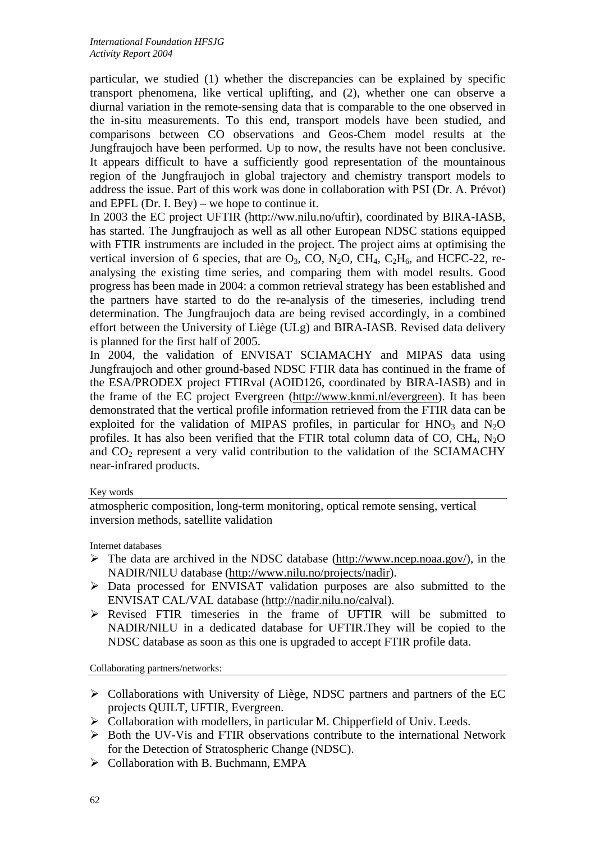particular, we studied (1) whether the discrepancies can be explained by specific transport phenomena, like vertical uplifting, and (2), whether one can observe a diurnal variation in the remote-sensing data that is comparable to the one observed in the in-situ measurements. To this end, transport models have been studied, and comparisons between CO observations and Geos-Chem model results at the Jungfraujoch have been performed. Up to now, the results have not been conclusive. It appears difficult to have a sufficiently good representation of the mountainous region of the Jungfraujoch in global trajectory and chemistry transport models to address the issue. Part of this work was done in collaboration with PSI (Dr. A. Prévot) and EPFL (Dr. I. Bey) – we hope to continue it.

In 2003 the EC project UFTIR (http://ww.nilu.no/uftir), coordinated by BIRA-IASB, has started. The Jungfraujoch as well as all other European NDSC stations equipped with FTIR instruments are included in the project. The project aims at optimising the vertical inversion of 6 species, that are  $O_3$ , CO, N<sub>2</sub>O, CH<sub>4</sub>, C<sub>2</sub>H<sub>6</sub>, and HCFC-22, reanalysing the existing time series, and comparing them with model results. Good progress has been made in 2004: a common retrieval strategy has been established and the partners have started to do the re-analysis of the timeseries, including trend determination. The Jungfraujoch data are being revised accordingly, in a combined effort between the University of Liège (ULg) and BIRA-IASB. Revised data delivery is planned for the first half of 2005.

In 2004, the validation of ENVISAT SCIAMACHY and MIPAS data using Jungfraujoch and other ground-based NDSC FTIR data has continued in the frame of the ESA/PRODEX project FTIRval (AOID126, coordinated by BIRA-IASB) and in the frame of the EC project Evergreen (<http://www.knmi.nl/evergreen>). It has been demonstrated that the vertical profile information retrieved from the FTIR data can be exploited for the validation of MIPAS profiles, in particular for  $HNO<sub>3</sub>$  and  $N<sub>2</sub>O$ profiles. It has also been verified that the FTIR total column data of CO,  $CH_4$ , N<sub>2</sub>O and  $CO<sub>2</sub>$  represent a very valid contribution to the validation of the SCIAMACHY near-infrared products.

#### Key words

atmospheric composition, long-term monitoring, optical remote sensing, vertical inversion methods, satellite validation

Internet databases

- $\triangleright$  The data are archived in the NDSC database [\(http://www.ncep.noaa.gov/](http://www.ndsc.ncep.noaa.gov/)), in the NADIR/NILU database [\(http://www.nilu.no/projects/nadir\)](http://www.nilu.no/projects/nadir).
- ¾ Data processed for ENVISAT validation purposes are also submitted to the ENVISAT CAL/VAL database ([http://nadir.nilu.no/calval\)](http://nadir.nilu.no/calval).
- $\triangleright$  Revised FTIR timeseries in the frame of UFTIR will be submitted to NADIR/NILU in a dedicated database for UFTIR.They will be copied to the NDSC database as soon as this one is upgraded to accept FTIR profile data.

Collaborating partners/networks:

- ¾ Collaborations with University of Liège, NDSC partners and partners of the EC projects QUILT, UFTIR, Evergreen.
- ¾ Collaboration with modellers, in particular M. Chipperfield of Univ. Leeds.
- $\triangleright$  Both the UV-V is and FTIR observations contribute to the international Network for the Detection of Stratospheric Change (NDSC).
- $\triangleright$  Collaboration with B. Buchmann, EMPA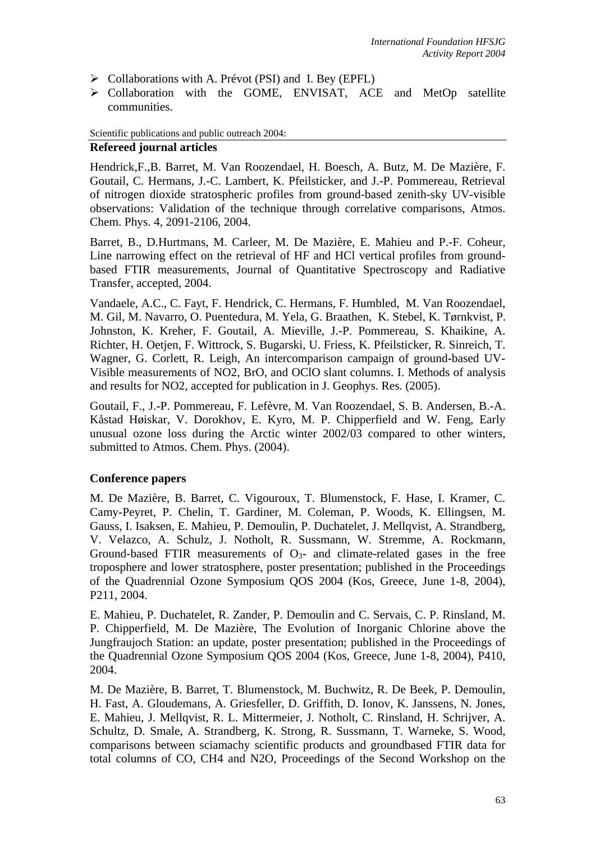- $\triangleright$  Collaborations with A. Prévot (PSI) and I. Bey (EPFL)
- ¾ Collaboration with the GOME, ENVISAT, ACE and MetOp satellite communities.

#### Scientific publications and public outreach 2004:

## **Refereed journal articles**

Hendrick,F.,B. Barret, M. Van Roozendael, H. Boesch, A. Butz, M. De Mazière, F. Goutail, C. Hermans, J.-C. Lambert, K. Pfeilsticker, and J.-P. Pommereau, Retrieval of nitrogen dioxide stratospheric profiles from ground-based zenith-sky UV-visible observations: Validation of the technique through correlative comparisons, Atmos. Chem. Phys. 4, 2091-2106, 2004.

Barret, B., D.Hurtmans, M. Carleer, M. De Mazière, E. Mahieu and P.-F. Coheur, Line narrowing effect on the retrieval of HF and HCl vertical profiles from groundbased FTIR measurements, Journal of Quantitative Spectroscopy and Radiative Transfer, accepted, 2004.

Vandaele, A.C., C. Fayt, F. Hendrick, C. Hermans, F. Humbled, M. Van Roozendael, M. Gil, M. Navarro, O. Puentedura, M. Yela, G. Braathen, K. Stebel, K. Tørnkvist, P. Johnston, K. Kreher, F. Goutail, A. Mieville, J.-P. Pommereau, S. Khaikine, A. Richter, H. Oetjen, F. Wittrock, S. Bugarski, U. Friess, K. Pfeilsticker, R. Sinreich, T. Wagner, G. Corlett, R. Leigh, An intercomparison campaign of ground-based UV-Visible measurements of NO2, BrO, and OClO slant columns. I. Methods of analysis and results for NO2, accepted for publication in J. Geophys. Res. (2005).

Goutail, F., J.-P. Pommereau, F. Lefèvre, M. Van Roozendael, S. B. Andersen, B.-A. Kåstad Høiskar, V. Dorokhov, E. Kyro, M. P. Chipperfield and W. Feng, Early unusual ozone loss during the Arctic winter 2002/03 compared to other winters, submitted to Atmos. Chem. Phys. (2004).

# **Conference papers**

M. De Mazière, B. Barret, C. Vigouroux, T. Blumenstock, F. Hase, I. Kramer, C. Camy-Peyret, P. Chelin, T. Gardiner, M. Coleman, P. Woods, K. Ellingsen, M. Gauss, I. Isaksen, E. Mahieu, P. Demoulin, P. Duchatelet, J. Mellqvist, A. Strandberg, V. Velazco, A. Schulz, J. Notholt, R. Sussmann, W. Stremme, A. Rockmann, Ground-based FTIR measurements of  $O_3$ - and climate-related gases in the free troposphere and lower stratosphere, poster presentation; published in the Proceedings of the Quadrennial Ozone Symposium QOS 2004 (Kos, Greece, June 1-8, 2004), P211, 2004.

E. Mahieu, P. Duchatelet, R. Zander, P. Demoulin and C. Servais, C. P. Rinsland, M. P. Chipperfield, M. De Mazière, The Evolution of Inorganic Chlorine above the Jungfraujoch Station: an update, poster presentation; published in the Proceedings of the Quadrennial Ozone Symposium QOS 2004 (Kos, Greece, June 1-8, 2004), P410, 2004.

M. De Mazière, B. Barret, T. Blumenstock, M. Buchwitz, R. De Beek, P. Demoulin, H. Fast, A. Gloudemans, A. Griesfeller, D. Griffith, D. Ionov, K. Janssens, N. Jones, E. Mahieu, J. Mellqvist, R. L. Mittermeier, J. Notholt, C. Rinsland, H. Schrijver, A. Schultz, D. Smale, A. Strandberg, K. Strong, R. Sussmann, T. Warneke, S. Wood, comparisons between sciamachy scientific products and groundbased FTIR data for total columns of CO, CH4 and N2O, Proceedings of the Second Workshop on the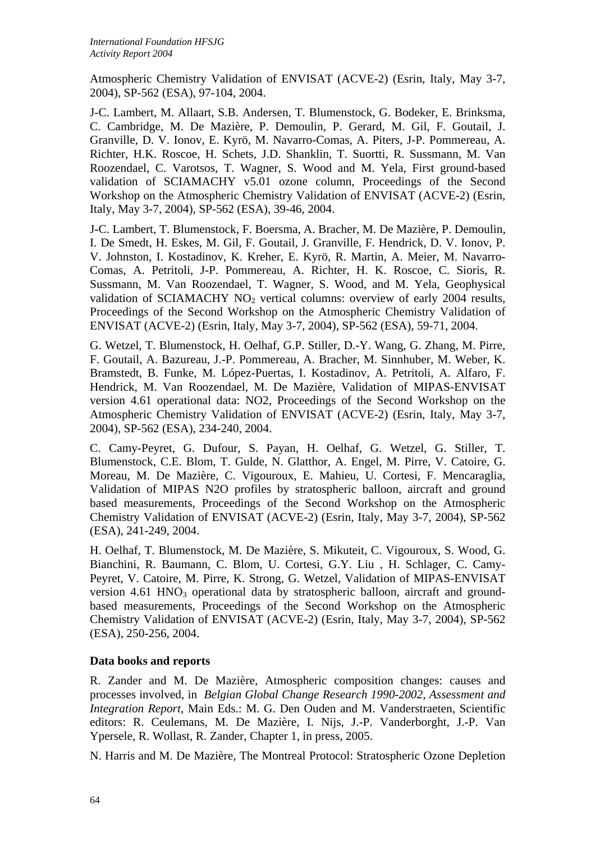Atmospheric Chemistry Validation of ENVISAT (ACVE-2) (Esrin, Italy, May 3-7, 2004), SP-562 (ESA), 97-104, 2004.

J-C. Lambert, M. Allaart, S.B. Andersen, T. Blumenstock, G. Bodeker, E. Brinksma, C. Cambridge, M. De Mazière, P. Demoulin, P. Gerard, M. Gil, F. Goutail, J. Granville, D. V. Ionov, E. Kyrö, M. Navarro-Comas, A. Piters, J-P. Pommereau, A. Richter, H.K. Roscoe, H. Schets, J.D. Shanklin, T. Suortti, R. Sussmann, M. Van Roozendael, C. Varotsos, T. Wagner, S. Wood and M. Yela, First ground-based validation of SCIAMACHY v5.01 ozone column, Proceedings of the Second Workshop on the Atmospheric Chemistry Validation of ENVISAT (ACVE-2) (Esrin, Italy, May 3-7, 2004), SP-562 (ESA), 39-46, 2004.

J-C. Lambert, T. Blumenstock, F. Boersma, A. Bracher, M. De Mazière, P. Demoulin, I. De Smedt, H. Eskes, M. Gil, F. Goutail, J. Granville, F. Hendrick, D. V. Ionov, P. V. Johnston, I. Kostadinov, K. Kreher, E. Kyrö, R. Martin, A. Meier, M. Navarro-Comas, A. Petritoli, J-P. Pommereau, A. Richter, H. K. Roscoe, C. Sioris, R. Sussmann, M. Van Roozendael, T. Wagner, S. Wood, and M. Yela, Geophysical validation of SCIAMACHY NO<sub>2</sub> vertical columns: overview of early 2004 results, Proceedings of the Second Workshop on the Atmospheric Chemistry Validation of ENVISAT (ACVE-2) (Esrin, Italy, May 3-7, 2004), SP-562 (ESA), 59-71, 2004.

G. Wetzel, T. Blumenstock, H. Oelhaf, G.P. Stiller, D.-Y. Wang, G. Zhang, M. Pirre, F. Goutail, A. Bazureau, J.-P. Pommereau, A. Bracher, M. Sinnhuber, M. Weber, K. Bramstedt, B. Funke, M. López-Puertas, I. Kostadinov, A. Petritoli, A. Alfaro, F. Hendrick, M. Van Roozendael, M. De Mazière, Validation of MIPAS-ENVISAT version 4.61 operational data: NO2, Proceedings of the Second Workshop on the Atmospheric Chemistry Validation of ENVISAT (ACVE-2) (Esrin, Italy, May 3-7, 2004), SP-562 (ESA), 234-240, 2004.

C. Camy-Peyret, G. Dufour, S. Payan, H. Oelhaf, G. Wetzel, G. Stiller, T. Blumenstock, C.E. Blom, T. Gulde, N. Glatthor, A. Engel, M. Pirre, V. Catoire, G. Moreau, M. De Mazière, C. Vigouroux, E. Mahieu, U. Cortesi, F. Mencaraglia, Validation of MIPAS N2O profiles by stratospheric balloon, aircraft and ground based measurements, Proceedings of the Second Workshop on the Atmospheric Chemistry Validation of ENVISAT (ACVE-2) (Esrin, Italy, May 3-7, 2004), SP-562 (ESA), 241-249, 2004.

H. Oelhaf, T. Blumenstock, M. De Mazière, S. Mikuteit, C. Vigouroux, S. Wood, G. Bianchini, R. Baumann, C. Blom, U. Cortesi, G.Y. Liu , H. Schlager, C. Camy-Peyret, V. Catoire, M. Pirre, K. Strong, G. Wetzel, Validation of MIPAS-ENVISAT version 4.61 HNO<sub>3</sub> operational data by stratospheric balloon, aircraft and groundbased measurements, Proceedings of the Second Workshop on the Atmospheric Chemistry Validation of ENVISAT (ACVE-2) (Esrin, Italy, May 3-7, 2004), SP-562 (ESA), 250-256, 2004.

# **Data books and reports**

R. Zander and M. De Mazière, Atmospheric composition changes: causes and processes involved, in *Belgian Global Change Research 1990-2002, Assessment and Integration Report*, Main Eds.: M. G. Den Ouden and M. Vanderstraeten, Scientific editors: R. Ceulemans, M. De Mazière, I. Nijs, J.-P. Vanderborght, J.-P. Van Ypersele, R. Wollast, R. Zander, Chapter 1, in press, 2005.

N. Harris and M. De Mazière, The Montreal Protocol: Stratospheric Ozone Depletion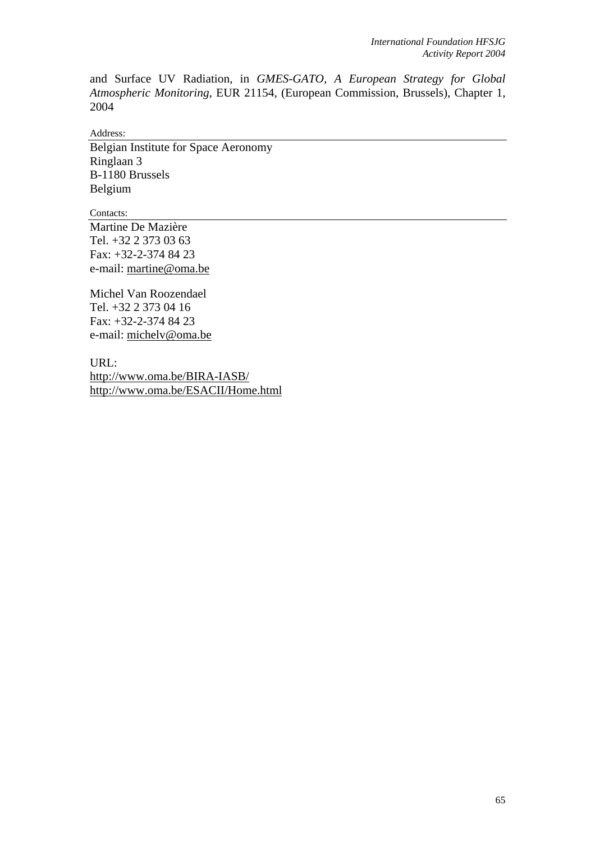and Surface UV Radiation, in *GMES-GATO, A European Strategy for Global Atmospheric Monitoring*, EUR 21154, (European Commission, Brussels), Chapter 1, 2004

Address:

Belgian Institute for Space Aeronomy Ringlaan 3 B-1180 Brussels Belgium

Contacts:

Martine De Mazière Tel. +32 2 373 03 63 Fax: +32-2-374 84 23 e-mail: [martine@oma.be](mailto:martine@oma.be)

Michel Van Roozendael Tel. +32 2 373 04 16 Fax: +32-2-374 84 23 e-mail: michelv@oma.be

URL: <http://www.oma.be/BIRA-IASB/> <http://www.oma.be/ESACII/Home.html>